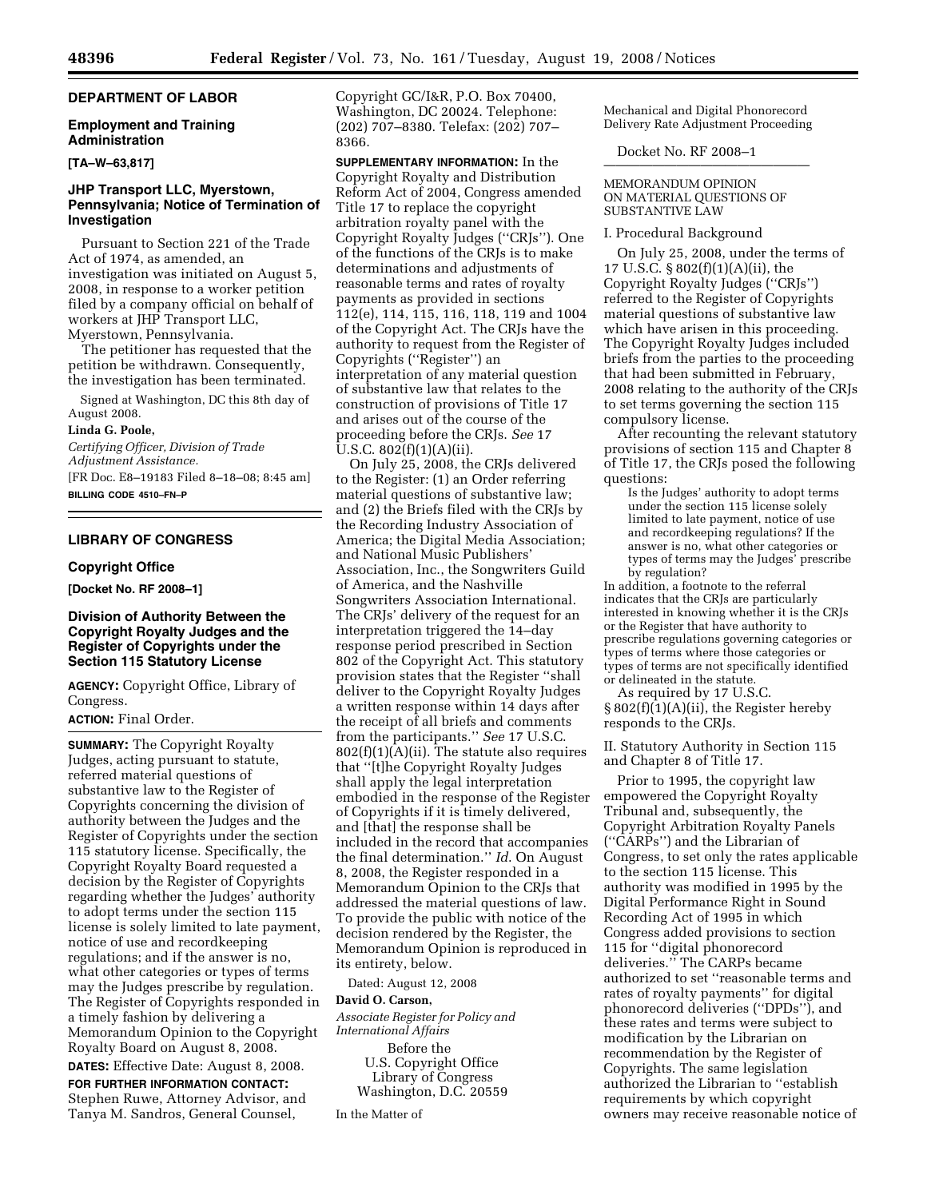# **DEPARTMENT OF LABOR**

### **Employment and Training Administration**

**[TA–W–63,817]** 

## **JHP Transport LLC, Myerstown, Pennsylvania; Notice of Termination of Investigation**

Pursuant to Section 221 of the Trade Act of 1974, as amended, an investigation was initiated on August 5, 2008, in response to a worker petition filed by a company official on behalf of workers at JHP Transport LLC, Myerstown, Pennsylvania.

The petitioner has requested that the petition be withdrawn. Consequently, the investigation has been terminated.

Signed at Washington, DC this 8th day of August 2008.

#### **Linda G. Poole,**

*Certifying Officer, Division of Trade Adjustment Assistance.*  [FR Doc. E8–19183 Filed 8–18–08; 8:45 am]

**BILLING CODE 4510–FN–P** 

# **LIBRARY OF CONGRESS**

#### **Copyright Office**

**[Docket No. RF 2008–1]** 

### **Division of Authority Between the Copyright Royalty Judges and the Register of Copyrights under the Section 115 Statutory License**

**AGENCY:** Copyright Office, Library of Congress.

## **ACTION:** Final Order.

**SUMMARY:** The Copyright Royalty Judges, acting pursuant to statute, referred material questions of substantive law to the Register of Copyrights concerning the division of authority between the Judges and the Register of Copyrights under the section 115 statutory license. Specifically, the Copyright Royalty Board requested a decision by the Register of Copyrights regarding whether the Judges' authority to adopt terms under the section 115 license is solely limited to late payment, notice of use and recordkeeping regulations; and if the answer is no, what other categories or types of terms may the Judges prescribe by regulation. The Register of Copyrights responded in a timely fashion by delivering a Memorandum Opinion to the Copyright Royalty Board on August 8, 2008.

**DATES:** Effective Date: August 8, 2008.

**FOR FURTHER INFORMATION CONTACT:**  Stephen Ruwe, Attorney Advisor, and Tanya M. Sandros, General Counsel,

Copyright GC/I&R, P.O. Box 70400, Washington, DC 20024. Telephone: (202) 707–8380. Telefax: (202) 707– 8366.

**SUPPLEMENTARY INFORMATION:** In the Copyright Royalty and Distribution Reform Act of 2004, Congress amended Title 17 to replace the copyright arbitration royalty panel with the Copyright Royalty Judges (''CRJs''). One of the functions of the CRJs is to make determinations and adjustments of reasonable terms and rates of royalty payments as provided in sections 112(e), 114, 115, 116, 118, 119 and 1004 of the Copyright Act. The CRJs have the authority to request from the Register of Copyrights (''Register'') an interpretation of any material question of substantive law that relates to the construction of provisions of Title 17 and arises out of the course of the proceeding before the CRJs. *See* 17 U.S.C. 802(f)(1)(A)(ii).

On July 25, 2008, the CRJs delivered to the Register: (1) an Order referring material questions of substantive law; and (2) the Briefs filed with the CRJs by the Recording Industry Association of America; the Digital Media Association; and National Music Publishers' Association, Inc., the Songwriters Guild of America, and the Nashville Songwriters Association International. The CRJs' delivery of the request for an interpretation triggered the 14–day response period prescribed in Section 802 of the Copyright Act. This statutory provision states that the Register ''shall deliver to the Copyright Royalty Judges a written response within 14 days after the receipt of all briefs and comments from the participants.'' *See* 17 U.S.C.  $802(f)(1)(A)(ii)$ . The statute also requires that ''[t]he Copyright Royalty Judges shall apply the legal interpretation embodied in the response of the Register of Copyrights if it is timely delivered, and [that] the response shall be included in the record that accompanies the final determination.'' *Id*. On August 8, 2008, the Register responded in a Memorandum Opinion to the CRJs that addressed the material questions of law. To provide the public with notice of the decision rendered by the Register, the Memorandum Opinion is reproduced in its entirety, below.

Dated: August 12, 2008

#### **David O. Carson,**

*Associate Register for Policy and International Affairs* 

Before the U.S. Copyright Office Library of Congress Washington, D.C. 20559

In the Matter of

Mechanical and Digital Phonorecord Delivery Rate Adjustment Proceeding

Docket No. RF 2008-1

#### MEMORANDUM OPINION ON MATERIAL QUESTIONS OF SUBSTANTIVE LAW

#### I. Procedural Background

On July 25, 2008, under the terms of 17 U.S.C. § 802(f)(1)(A)(ii), the Copyright Royalty Judges (''CRJs'') referred to the Register of Copyrights material questions of substantive law which have arisen in this proceeding. The Copyright Royalty Judges included briefs from the parties to the proceeding that had been submitted in February, 2008 relating to the authority of the CRJs to set terms governing the section 115 compulsory license.

After recounting the relevant statutory provisions of section 115 and Chapter 8 of Title 17, the CRJs posed the following questions:

Is the Judges' authority to adopt terms under the section 115 license solely limited to late payment, notice of use and recordkeeping regulations? If the answer is no, what other categories or types of terms may the Judges' prescribe by regulation?

In addition, a footnote to the referral indicates that the CRJs are particularly interested in knowing whether it is the CRJs or the Register that have authority to prescribe regulations governing categories or types of terms where those categories or types of terms are not specifically identified or delineated in the statute.

As required by 17 U.S.C.

§ 802(f)(1)(A)(ii), the Register hereby responds to the CRJs.

II. Statutory Authority in Section 115 and Chapter 8 of Title 17.

Prior to 1995, the copyright law empowered the Copyright Royalty Tribunal and, subsequently, the Copyright Arbitration Royalty Panels (''CARPs'') and the Librarian of Congress, to set only the rates applicable to the section 115 license. This authority was modified in 1995 by the Digital Performance Right in Sound Recording Act of 1995 in which Congress added provisions to section 115 for ''digital phonorecord deliveries.'' The CARPs became authorized to set ''reasonable terms and rates of royalty payments'' for digital phonorecord deliveries (''DPDs''), and these rates and terms were subject to modification by the Librarian on recommendation by the Register of Copyrights. The same legislation authorized the Librarian to ''establish requirements by which copyright owners may receive reasonable notice of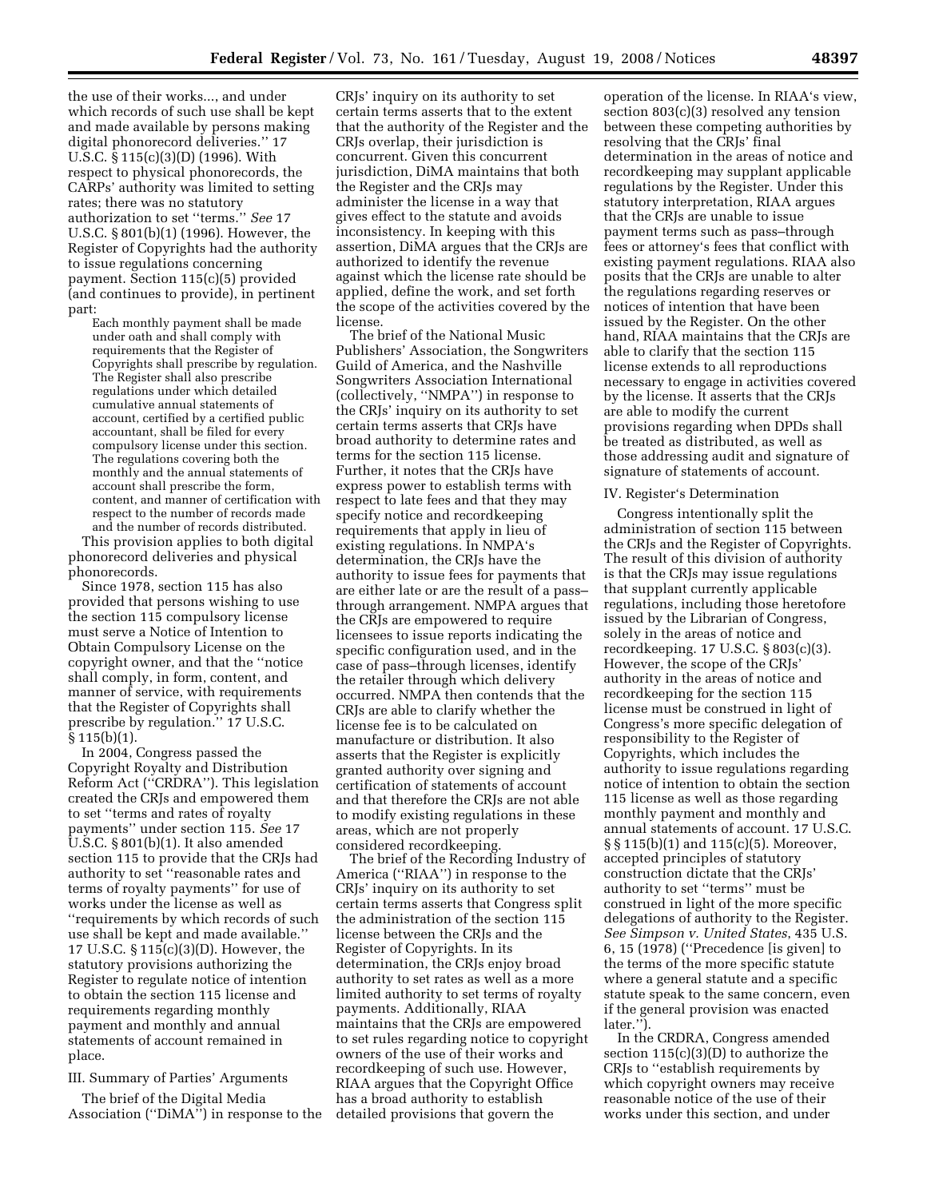the use of their works..., and under which records of such use shall be kept and made available by persons making digital phonorecord deliveries.'' 17 U.S.C. § 115(c)(3)(D) (1996). With respect to physical phonorecords, the CARPs' authority was limited to setting rates; there was no statutory authorization to set ''terms.'' *See* 17 U.S.C. § 801(b)(1) (1996). However, the Register of Copyrights had the authority to issue regulations concerning payment. Section 115(c)(5) provided (and continues to provide), in pertinent part:

Each monthly payment shall be made under oath and shall comply with requirements that the Register of Copyrights shall prescribe by regulation. The Register shall also prescribe regulations under which detailed cumulative annual statements of account, certified by a certified public accountant, shall be filed for every compulsory license under this section. The regulations covering both the monthly and the annual statements of account shall prescribe the form, content, and manner of certification with respect to the number of records made and the number of records distributed.

This provision applies to both digital phonorecord deliveries and physical phonorecords.

Since 1978, section 115 has also provided that persons wishing to use the section 115 compulsory license must serve a Notice of Intention to Obtain Compulsory License on the copyright owner, and that the ''notice shall comply, in form, content, and manner of service, with requirements that the Register of Copyrights shall prescribe by regulation.'' 17 U.S.C. § 115(b)(1).

In 2004, Congress passed the Copyright Royalty and Distribution Reform Act (''CRDRA''). This legislation created the CRJs and empowered them to set ''terms and rates of royalty payments'' under section 115. *See* 17 U.S.C. § 801(b)(1). It also amended section 115 to provide that the CRJs had authority to set ''reasonable rates and terms of royalty payments'' for use of works under the license as well as ''requirements by which records of such use shall be kept and made available.'' 17 U.S.C. § 115(c)(3)(D). However, the statutory provisions authorizing the Register to regulate notice of intention to obtain the section 115 license and requirements regarding monthly payment and monthly and annual statements of account remained in place.

### III. Summary of Parties' Arguments

The brief of the Digital Media Association (''DiMA'') in response to the

CRJs' inquiry on its authority to set certain terms asserts that to the extent that the authority of the Register and the CRJs overlap, their jurisdiction is concurrent. Given this concurrent jurisdiction, DiMA maintains that both the Register and the CRJs may administer the license in a way that gives effect to the statute and avoids inconsistency. In keeping with this assertion, DiMA argues that the CRJs are authorized to identify the revenue against which the license rate should be applied, define the work, and set forth the scope of the activities covered by the license.

The brief of the National Music Publishers' Association, the Songwriters Guild of America, and the Nashville Songwriters Association International (collectively, ''NMPA'') in response to the CRJs' inquiry on its authority to set certain terms asserts that CRJs have broad authority to determine rates and terms for the section 115 license. Further, it notes that the CRJs have express power to establish terms with respect to late fees and that they may specify notice and recordkeeping requirements that apply in lieu of existing regulations. In NMPA's determination, the CRJs have the authority to issue fees for payments that are either late or are the result of a pass– through arrangement. NMPA argues that the CRJs are empowered to require licensees to issue reports indicating the specific configuration used, and in the case of pass–through licenses, identify the retailer through which delivery occurred. NMPA then contends that the CRJs are able to clarify whether the license fee is to be calculated on manufacture or distribution. It also asserts that the Register is explicitly granted authority over signing and certification of statements of account and that therefore the CRJs are not able to modify existing regulations in these areas, which are not properly considered recordkeeping.

The brief of the Recording Industry of America (''RIAA'') in response to the CRJs' inquiry on its authority to set certain terms asserts that Congress split the administration of the section 115 license between the CRJs and the Register of Copyrights. In its determination, the CRJs enjoy broad authority to set rates as well as a more limited authority to set terms of royalty payments. Additionally, RIAA maintains that the CRJs are empowered to set rules regarding notice to copyright owners of the use of their works and recordkeeping of such use. However, RIAA argues that the Copyright Office has a broad authority to establish detailed provisions that govern the

operation of the license. In RIAA's view, section 803(c)(3) resolved any tension between these competing authorities by resolving that the CRJs' final determination in the areas of notice and recordkeeping may supplant applicable regulations by the Register. Under this statutory interpretation, RIAA argues that the CRJs are unable to issue payment terms such as pass–through fees or attorney's fees that conflict with existing payment regulations. RIAA also posits that the CRJs are unable to alter the regulations regarding reserves or notices of intention that have been issued by the Register. On the other hand, RIAA maintains that the CRJs are able to clarify that the section 115 license extends to all reproductions necessary to engage in activities covered by the license. It asserts that the CRJs are able to modify the current provisions regarding when DPDs shall be treated as distributed, as well as those addressing audit and signature of signature of statements of account.

#### IV. Register's Determination

Congress intentionally split the administration of section 115 between the CRJs and the Register of Copyrights. The result of this division of authority is that the CRJs may issue regulations that supplant currently applicable regulations, including those heretofore issued by the Librarian of Congress, solely in the areas of notice and recordkeeping. 17 U.S.C. § 803(c)(3). However, the scope of the CRJs' authority in the areas of notice and recordkeeping for the section 115 license must be construed in light of Congress's more specific delegation of responsibility to the Register of Copyrights, which includes the authority to issue regulations regarding notice of intention to obtain the section 115 license as well as those regarding monthly payment and monthly and annual statements of account. 17 U.S.C. § § 115(b)(1) and 115(c)(5). Moreover, accepted principles of statutory construction dictate that the CRJs' authority to set ''terms'' must be construed in light of the more specific delegations of authority to the Register. *See Simpson v. United States*, 435 U.S. 6, 15 (1978) (''Precedence [is given] to the terms of the more specific statute where a general statute and a specific statute speak to the same concern, even if the general provision was enacted later.'').

In the CRDRA, Congress amended section 115(c)(3)(D) to authorize the CRJs to ''establish requirements by which copyright owners may receive reasonable notice of the use of their works under this section, and under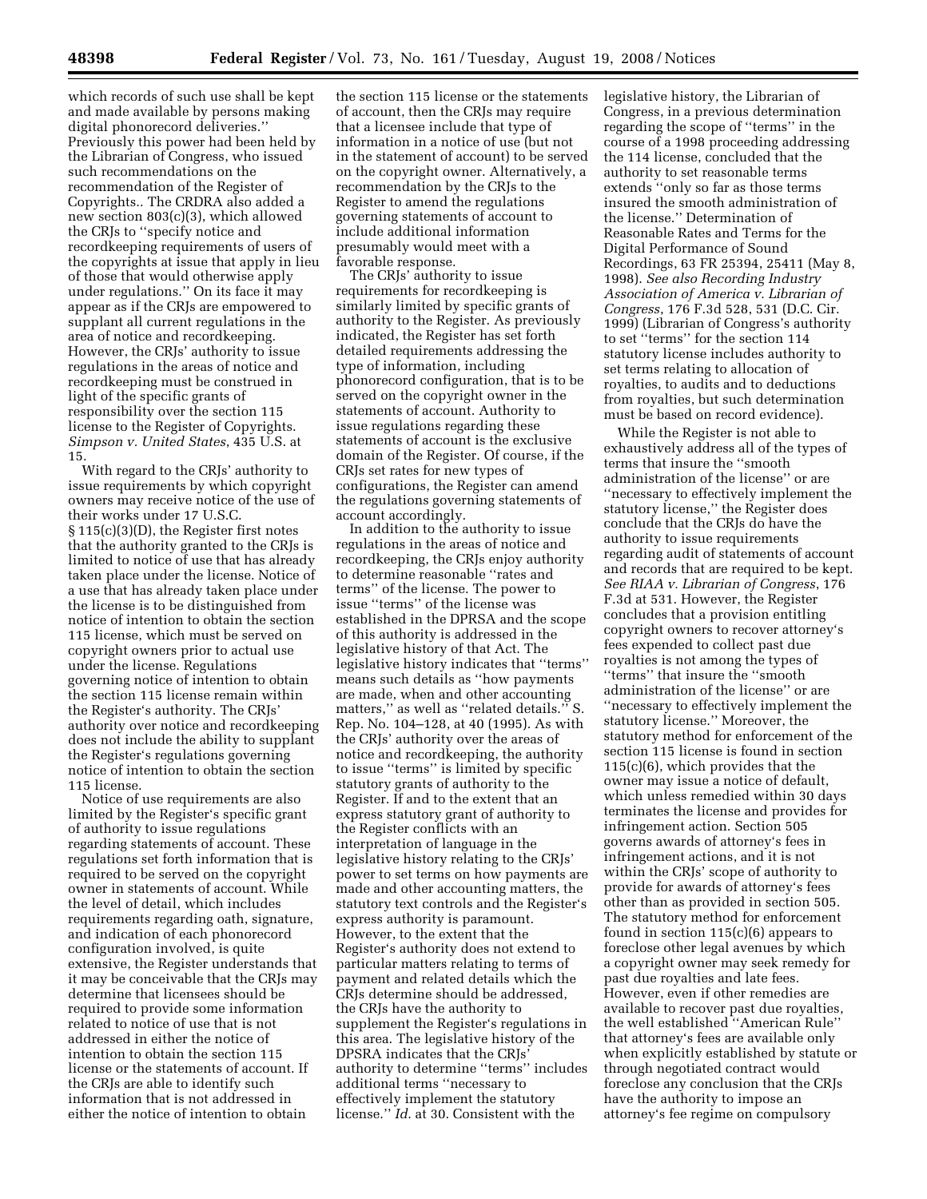which records of such use shall be kept and made available by persons making digital phonorecord deliveries.'' Previously this power had been held by the Librarian of Congress, who issued such recommendations on the recommendation of the Register of Copyrights.. The CRDRA also added a new section 803(c)(3), which allowed the CRJs to ''specify notice and recordkeeping requirements of users of the copyrights at issue that apply in lieu of those that would otherwise apply under regulations.'' On its face it may appear as if the CRJs are empowered to supplant all current regulations in the area of notice and recordkeeping. However, the CRJs' authority to issue regulations in the areas of notice and recordkeeping must be construed in light of the specific grants of responsibility over the section 115 license to the Register of Copyrights. *Simpson v. United States*, 435 U.S. at 15.

With regard to the CRJs' authority to issue requirements by which copyright owners may receive notice of the use of their works under 17 U.S.C. § 115(c)(3)(D), the Register first notes that the authority granted to the CRJs is limited to notice of use that has already taken place under the license. Notice of a use that has already taken place under the license is to be distinguished from notice of intention to obtain the section 115 license, which must be served on copyright owners prior to actual use under the license. Regulations governing notice of intention to obtain the section 115 license remain within the Register's authority. The CRJs' authority over notice and recordkeeping does not include the ability to supplant the Register's regulations governing notice of intention to obtain the section 115 license.

Notice of use requirements are also limited by the Register's specific grant of authority to issue regulations regarding statements of account. These regulations set forth information that is required to be served on the copyright owner in statements of account. While the level of detail, which includes requirements regarding oath, signature, and indication of each phonorecord configuration involved, is quite extensive, the Register understands that it may be conceivable that the CRJs may determine that licensees should be required to provide some information related to notice of use that is not addressed in either the notice of intention to obtain the section 115 license or the statements of account. If the CRJs are able to identify such information that is not addressed in either the notice of intention to obtain

the section 115 license or the statements of account, then the CRJs may require that a licensee include that type of information in a notice of use (but not in the statement of account) to be served on the copyright owner. Alternatively, a recommendation by the CRJs to the Register to amend the regulations governing statements of account to include additional information presumably would meet with a favorable response.

The CRJs' authority to issue requirements for recordkeeping is similarly limited by specific grants of authority to the Register. As previously indicated, the Register has set forth detailed requirements addressing the type of information, including phonorecord configuration, that is to be served on the copyright owner in the statements of account. Authority to issue regulations regarding these statements of account is the exclusive domain of the Register. Of course, if the CRJs set rates for new types of configurations, the Register can amend the regulations governing statements of account accordingly.

In addition to the authority to issue regulations in the areas of notice and recordkeeping, the CRJs enjoy authority to determine reasonable ''rates and terms'' of the license. The power to issue ''terms'' of the license was established in the DPRSA and the scope of this authority is addressed in the legislative history of that Act. The legislative history indicates that ''terms'' means such details as ''how payments are made, when and other accounting matters,'' as well as ''related details.'' S. Rep. No. 104–128, at 40 (1995). As with the CRJs' authority over the areas of notice and recordkeeping, the authority to issue ''terms'' is limited by specific statutory grants of authority to the Register. If and to the extent that an express statutory grant of authority to the Register conflicts with an interpretation of language in the legislative history relating to the CRJs' power to set terms on how payments are made and other accounting matters, the statutory text controls and the Register's express authority is paramount. However, to the extent that the Register's authority does not extend to particular matters relating to terms of payment and related details which the CRJs determine should be addressed, the CRJs have the authority to supplement the Register's regulations in this area. The legislative history of the DPSRA indicates that the CRJs' authority to determine ''terms'' includes additional terms ''necessary to effectively implement the statutory license.'' *Id*. at 30. Consistent with the

legislative history, the Librarian of Congress, in a previous determination regarding the scope of ''terms'' in the course of a 1998 proceeding addressing the 114 license, concluded that the authority to set reasonable terms extends ''only so far as those terms insured the smooth administration of the license.'' Determination of Reasonable Rates and Terms for the Digital Performance of Sound Recordings, 63 FR 25394, 25411 (May 8, 1998). *See also Recording Industry Association of America v. Librarian of Congress*, 176 F.3d 528, 531 (D.C. Cir. 1999) (Librarian of Congress's authority to set ''terms'' for the section 114 statutory license includes authority to set terms relating to allocation of royalties, to audits and to deductions from royalties, but such determination must be based on record evidence).

While the Register is not able to exhaustively address all of the types of terms that insure the ''smooth administration of the license'' or are ''necessary to effectively implement the statutory license,'' the Register does conclude that the CRJs do have the authority to issue requirements regarding audit of statements of account and records that are required to be kept. *See RIAA v. Librarian of Congress*, 176 F.3d at 531. However, the Register concludes that a provision entitling copyright owners to recover attorney's fees expended to collect past due royalties is not among the types of ''terms'' that insure the ''smooth administration of the license'' or are ''necessary to effectively implement the statutory license.'' Moreover, the statutory method for enforcement of the section 115 license is found in section 115(c)(6), which provides that the owner may issue a notice of default, which unless remedied within 30 days terminates the license and provides for infringement action. Section 505 governs awards of attorney's fees in infringement actions, and it is not within the CRJs' scope of authority to provide for awards of attorney's fees other than as provided in section 505. The statutory method for enforcement found in section 115(c)(6) appears to foreclose other legal avenues by which a copyright owner may seek remedy for past due royalties and late fees. However, even if other remedies are available to recover past due royalties, the well established ''American Rule'' that attorney's fees are available only when explicitly established by statute or through negotiated contract would foreclose any conclusion that the CRJs have the authority to impose an attorney's fee regime on compulsory